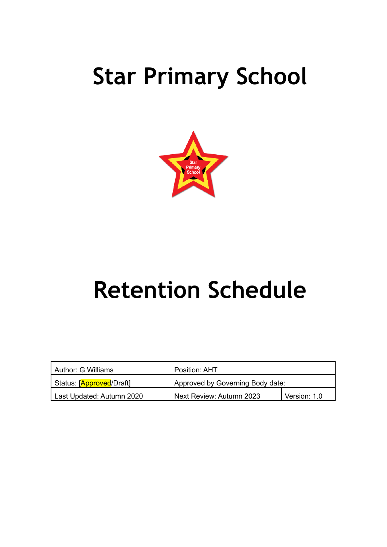# **Star Primary School**



# **Retention Schedule**

| l Author: G Williams      | Position: AHT                    |              |
|---------------------------|----------------------------------|--------------|
| Status: [Approved/Draft]  | Approved by Governing Body date: |              |
| Last Updated: Autumn 2020 | Next Review: Autumn 2023         | Version: 1.0 |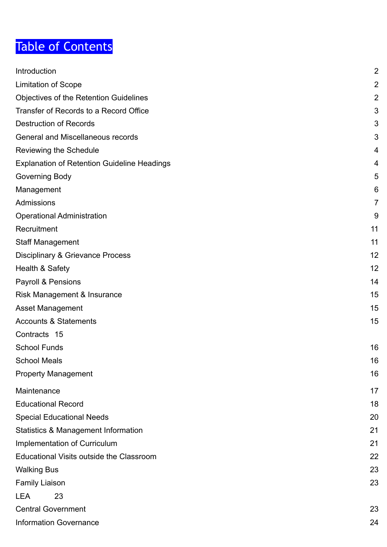# Table of Contents

<span id="page-1-0"></span>

| Introduction                                       | $\overline{2}$ |
|----------------------------------------------------|----------------|
| <b>Limitation of Scope</b>                         | $\overline{2}$ |
| <b>Objectives of the Retention Guidelines</b>      | $\overline{2}$ |
| Transfer of Records to a Record Office             | 3              |
| <b>Destruction of Records</b>                      | 3              |
| <b>General and Miscellaneous records</b>           | 3              |
| <b>Reviewing the Schedule</b>                      | 4              |
| <b>Explanation of Retention Guideline Headings</b> | 4              |
| Governing Body                                     | 5              |
| Management                                         | 6              |
| Admissions                                         | $\overline{7}$ |
| <b>Operational Administration</b>                  | 9              |
| Recruitment                                        | 11             |
| <b>Staff Management</b>                            | 11             |
| <b>Disciplinary &amp; Grievance Process</b>        | 12             |
| Health & Safety                                    | 12             |
| Payroll & Pensions                                 | 14             |
| Risk Management & Insurance                        | 15             |
| Asset Management                                   | 15             |
| <b>Accounts &amp; Statements</b>                   | 15             |
| Contracts 15                                       |                |
| <b>School Funds</b>                                | 16             |
| <b>School Meals</b>                                | 16             |
| Property Management                                | 16             |
| Maintenance                                        | 17             |
| <b>Educational Record</b>                          | 18             |
| <b>Special Educational Needs</b>                   | 20             |
| <b>Statistics &amp; Management Information</b>     | 21             |
| Implementation of Curriculum                       | 21             |
| <b>Educational Visits outside the Classroom</b>    | 22             |
| <b>Walking Bus</b>                                 | 23             |
| <b>Family Liaison</b>                              | 23             |
| 23<br><b>LEA</b>                                   |                |
| <b>Central Government</b>                          | 23             |
| <b>Information Governance</b>                      | 24             |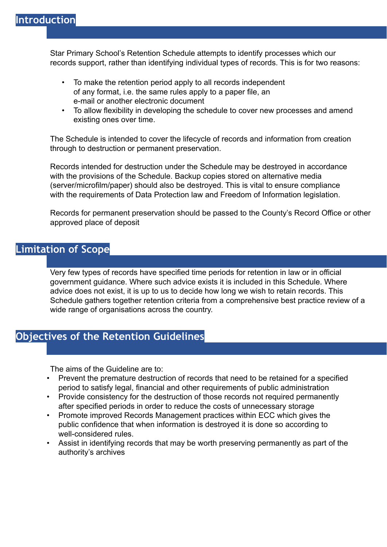Star Primary School's Retention Schedule attempts to identify processes which our records support, rather than identifying individual types of records. This is for two reasons:

- To make the retention period apply to all records independent of any format, i.e. the same rules apply to a paper file, an e-mail or another electronic document
- To allow flexibility in developing the schedule to cover new processes and amend existing ones over time.

The Schedule is intended to cover the lifecycle of records and information from creation through to destruction or permanent preservation.

Records intended for destruction under the Schedule may be destroyed in accordance with the provisions of the Schedule. Backup copies stored on alternative media (server/microfilm/paper) should also be destroyed. This is vital to ensure compliance with the requirements of Data Protection law and Freedom of Information legislation.

Records for permanent preservation should be passed to the County's Record Office or other approved place of deposit

## <span id="page-2-0"></span>**Limitation of Scope**

Very few types of records have specified time periods for retention in law or in official government guidance. Where such advice exists it is included in this Schedule. Where advice does not exist, it is up to us to decide how long we wish to retain records. This Schedule gathers together retention criteria from a comprehensive best practice review of a wide range of organisations across the country.

# <span id="page-2-1"></span>**Objectives of the Retention Guidelines**

The aims of the Guideline are to:

- Prevent the premature destruction of records that need to be retained for a specified period to satisfy legal, financial and other requirements of public administration
- Provide consistency for the destruction of those records not required permanently after specified periods in order to reduce the costs of unnecessary storage
- Promote improved Records Management practices within ECC which gives the public confidence that when information is destroyed it is done so according to well-considered rules.
- <span id="page-2-2"></span>• Assist in identifying records that may be worth preserving permanently as part of the authority's archives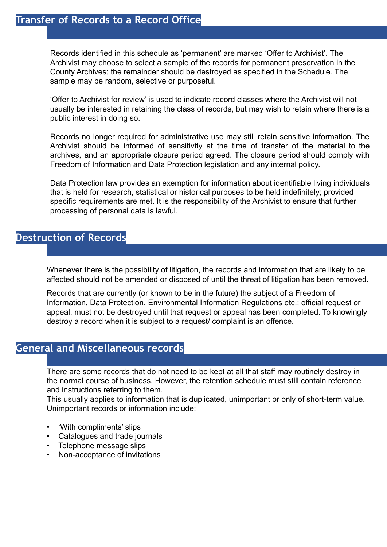# **Transfer of Records to a Record Office**

Records identified in this schedule as 'permanent' are marked 'Offer to Archivist'. The Archivist may choose to select a sample of the records for permanent preservation in the County Archives; the remainder should be destroyed as specified in the Schedule. The sample may be random, selective or purposeful.

'Offer to Archivist for review' is used to indicate record classes where the Archivist will not usually be interested in retaining the class of records, but may wish to retain where there is a public interest in doing so.

Records no longer required for administrative use may still retain sensitive information. The Archivist should be informed of sensitivity at the time of transfer of the material to the archives, and an appropriate closure period agreed. The closure period should comply with Freedom of Information and Data Protection legislation and any internal policy.

Data Protection law provides an exemption for information about identifiable living individuals that is held for research, statistical or historical purposes to be held indefinitely; provided specific requirements are met. It is the responsibility of the Archivist to ensure that further processing of personal data is lawful.

## <span id="page-3-0"></span>**Destruction of Records**

Whenever there is the possibility of litigation, the records and information that are likely to be affected should not be amended or disposed of until the threat of litigation has been removed.

Records that are currently (or known to be in the future) the subject of a Freedom of Information, Data Protection, Environmental Information Regulations etc.; official request or appeal, must not be destroyed until that request or appeal has been completed. To knowingly destroy a record when it is subject to a request/ complaint is an offence.

## <span id="page-3-1"></span>**General and Miscellaneous records**

There are some records that do not need to be kept at all that staff may routinely destroy in the normal course of business. However, the retention schedule must still contain reference and instructions referring to them.

This usually applies to information that is duplicated, unimportant or only of short-term value. Unimportant records or information include:

- 'With compliments' slips
- Catalogues and trade journals
- Telephone message slips
- Non-acceptance of invitations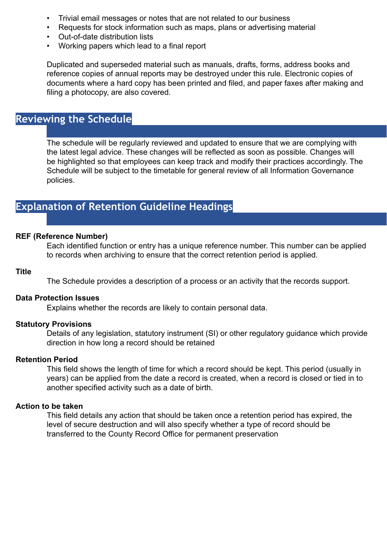- Trivial email messages or notes that are not related to our business
- Requests for stock information such as maps, plans or advertising material
- Out-of-date distribution lists
- Working papers which lead to a final report

Duplicated and superseded material such as manuals, drafts, forms, address books and reference copies of annual reports may be destroyed under this rule. Electronic copies of documents where a hard copy has been printed and filed, and paper faxes after making and filing a photocopy, are also covered.

## <span id="page-4-0"></span>**Reviewing the Schedule**

The schedule will be regularly reviewed and updated to ensure that we are complying with the latest legal advice. These changes will be reflected as soon as possible. Changes will be highlighted so that employees can keep track and modify their practices accordingly. The Schedule will be subject to the timetable for general review of all Information Governance policies.

## <span id="page-4-1"></span>**Explanation of Retention Guideline Headings**

### **REF (Reference Number)**

Each identified function or entry has a unique reference number. This number can be applied to records when archiving to ensure that the correct retention period is applied.

#### **Title**

The Schedule provides a description of a process or an activity that the records support.

## **Data Protection Issues**

Explains whether the records are likely to contain personal data.

## **Statutory Provisions**

Details of any legislation, statutory instrument (SI) or other regulatory guidance which provide direction in how long a record should be retained

## **Retention Period**

This field shows the length of time for which a record should be kept. This period (usually in years) can be applied from the date a record is created, when a record is closed or tied in to another specified activity such as a date of birth.

### **Action to be taken**

This field details any action that should be taken once a retention period has expired, the level of secure destruction and will also specify whether a type of record should be transferred to the County Record Office for permanent preservation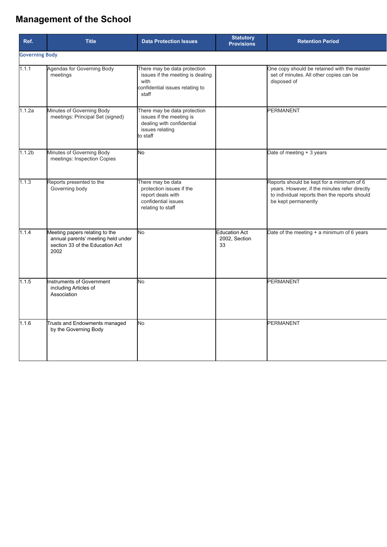# **Management of the School**

<span id="page-5-0"></span>

| Ref.                  | <b>Title</b>                                                                                                    | <b>Data Protection Issues</b>                                                                                        | <b>Statutory</b><br><b>Provisions</b>       | <b>Retention Period</b>                                                                                                                                            |
|-----------------------|-----------------------------------------------------------------------------------------------------------------|----------------------------------------------------------------------------------------------------------------------|---------------------------------------------|--------------------------------------------------------------------------------------------------------------------------------------------------------------------|
| <b>Governing Body</b> |                                                                                                                 |                                                                                                                      |                                             |                                                                                                                                                                    |
| 1.1.1                 | Agendas for Governing Body<br>meetings                                                                          | There may be data protection<br>issues if the meeting is dealing<br>with<br>confidential issues relating to<br>staff |                                             | One copy should be retained with the master<br>set of minutes. All other copies can be<br>disposed of                                                              |
| 1.1.2a                | Minutes of Governing Body<br>meetings: Principal Set (signed)                                                   | There may be data protection<br>issues if the meeting is<br>dealing with confidential<br>issues relating<br>to staff |                                             | <b>PERMANENT</b>                                                                                                                                                   |
| 1.1.2 <sub>b</sub>    | Minutes of Governing Body<br>meetings: Inspection Copies                                                        | lNo.                                                                                                                 |                                             | Date of meeting + 3 years                                                                                                                                          |
| 1.1.3                 | Reports presented to the<br>Governing body                                                                      | There may be data<br>protection issues if the<br>report deals with<br>confidential issues<br>relating to staff       |                                             | Reports should be kept for a minimum of 6<br>years. However, if the minutes refer directly<br>to individual reports then the reports should<br>be kept permanently |
| 1.1.4                 | Meeting papers relating to the<br>annual parents' meeting held under<br>section 33 of the Education Act<br>2002 | No.                                                                                                                  | <b>Education Act</b><br>2002, Section<br>33 | Date of the meeting $+$ a minimum of 6 years                                                                                                                       |
| 1.1.5                 | nstruments of Government<br>including Articles of<br>Association                                                | No.                                                                                                                  |                                             | <b>PERMANENT</b>                                                                                                                                                   |
| 1.1.6                 | Trusts and Endowments managed<br>by the Governing Body                                                          | N <sub>o</sub>                                                                                                       |                                             | <b>PERMANENT</b>                                                                                                                                                   |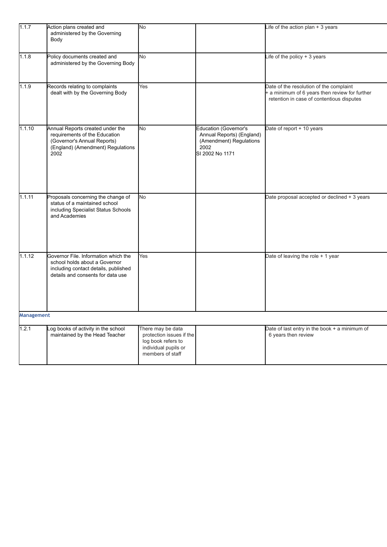<span id="page-6-0"></span>

| 1.1.7      | Action plans created and<br>administered by the Governing<br>Body                                                                                  | No                                                                                                              |                                                                                                                 | Life of the action plan $+3$ years                                                                                                     |
|------------|----------------------------------------------------------------------------------------------------------------------------------------------------|-----------------------------------------------------------------------------------------------------------------|-----------------------------------------------------------------------------------------------------------------|----------------------------------------------------------------------------------------------------------------------------------------|
| 1.1.8      | Policy documents created and<br>administered by the Governing Body                                                                                 | No                                                                                                              |                                                                                                                 | Life of the policy $+3$ years                                                                                                          |
| 1.1.9      | Records relating to complaints<br>dealt with by the Governing Body                                                                                 | Yes                                                                                                             |                                                                                                                 | Date of the resolution of the complaint<br>+ a minimum of 6 years then review for further<br>retention in case of contentious disputes |
| 1.1.10     | Annual Reports created under the<br>requirements of the Education<br>(Governor's Annual Reports)<br>(England) (Amendment) Regulations<br>2002      | No                                                                                                              | <b>Education (Governor's</b><br>Annual Reports) (England)<br>(Amendment) Regulations<br>2002<br>SI 2002 No 1171 | Date of report + 10 years                                                                                                              |
| 1.1.11     | Proposals concerning the change of<br>status of a maintained school<br>including Specialist Status Schools<br>and Academies                        | No                                                                                                              |                                                                                                                 | Date proposal accepted or declined + 3 years                                                                                           |
| 1.1.12     | Governor File. Information which the<br>school holds about a Governor<br>including contact details, published<br>details and consents for data use | Yes                                                                                                             |                                                                                                                 | Date of leaving the role + 1 year                                                                                                      |
| Management |                                                                                                                                                    |                                                                                                                 |                                                                                                                 |                                                                                                                                        |
| 1.2.1      | Log books of activity in the school<br>maintained by the Head Teacher                                                                              | There may be data<br>protection issues if the<br>log book refers to<br>individual pupils or<br>members of staff |                                                                                                                 | Date of last entry in the book + a minimum of<br>6 years then review                                                                   |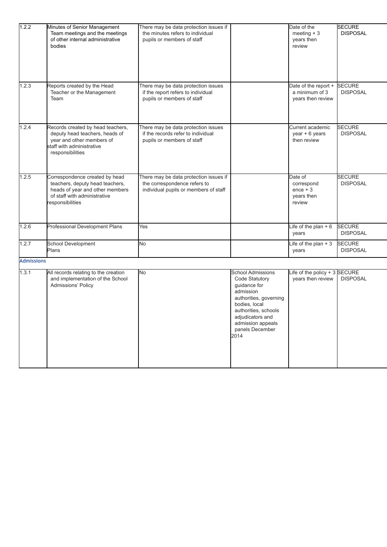<span id="page-7-0"></span>

| 1.2.2             | Minutes of Senior Management<br>Team meetings and the meetings<br>of other internal administrative<br>bodies                                             | There may be data protection issues if<br>the minutes refers to individual<br>pupils or members of staff        |                                                                                                                                                                                                                | Date of the<br>meeting $+3$<br>years then<br>review         | <b>SECURE</b><br><b>DISPOSAL</b> |
|-------------------|----------------------------------------------------------------------------------------------------------------------------------------------------------|-----------------------------------------------------------------------------------------------------------------|----------------------------------------------------------------------------------------------------------------------------------------------------------------------------------------------------------------|-------------------------------------------------------------|----------------------------------|
| 1.2.3             | Reports created by the Head<br>Teacher or the Management<br>Team                                                                                         | There may be data protection issues<br>if the report refers to individual<br>pupils or members of staff         |                                                                                                                                                                                                                | Date of the report +<br>a minimum of 3<br>years then review | <b>SECURE</b><br><b>DISPOSAL</b> |
| 1.2.4             | Records created by head teachers,<br>deputy head teachers, heads of<br>year and other members of<br>staff with administrative<br>responsibilities        | There may be data protection issues<br>if the records refer to individual<br>pupils or members of staff         |                                                                                                                                                                                                                | Current academic<br>year + 6 years<br>then review           | <b>SECURE</b><br><b>DISPOSAL</b> |
| 1.2.5             | Correspondence created by head<br>teachers, deputy head teachers,<br>heads of year and other members<br>of staff with administrative<br>responsibilities | There may be data protection issues if<br>the correspondence refers to<br>individual pupils or members of staff |                                                                                                                                                                                                                | Date of<br>correspond<br>$ence + 3$<br>years then<br>review | <b>SECURE</b><br><b>DISPOSAL</b> |
| 1.2.6             | Professional Development Plans                                                                                                                           | Yes                                                                                                             |                                                                                                                                                                                                                | Life of the plan $+6$<br>years                              | <b>SECURE</b><br><b>DISPOSAL</b> |
| 1.2.7             | School Development<br>Plans                                                                                                                              | <b>No</b>                                                                                                       |                                                                                                                                                                                                                | Life of the plan $+3$<br>years                              | <b>SECURE</b><br><b>DISPOSAL</b> |
| <b>Admissions</b> |                                                                                                                                                          |                                                                                                                 |                                                                                                                                                                                                                |                                                             |                                  |
| 1.3.1             | All records relating to the creation<br>and implementation of the School<br>Admissions' Policy                                                           | No                                                                                                              | <b>School Admissions</b><br>Code Statutory<br>guidance for<br>admission<br>authorities, governing<br>bodies, local<br>authorities, schools<br>adjudicators and<br>admission appeals<br>panels December<br>2014 | Life of the policy $+3$ SECURE<br>years then review         | <b>DISPOSAL</b>                  |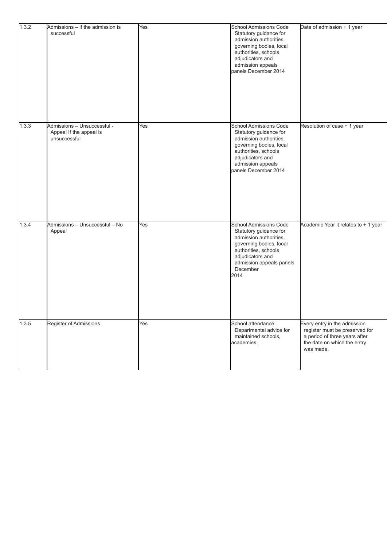| 1.3.2 | Admissions - if the admission is<br>successful                         | Yes | School Admissions Code<br>Statutory guidance for<br>admission authorities,<br>governing bodies, local<br>authorities, schools<br>adjudicators and<br>admission appeals<br>panels December 2014           | Date of admission + 1 year                                                                                                                  |
|-------|------------------------------------------------------------------------|-----|----------------------------------------------------------------------------------------------------------------------------------------------------------------------------------------------------------|---------------------------------------------------------------------------------------------------------------------------------------------|
| 1.3.3 | Admissions - Unsuccessful -<br>Appeal If the appeal is<br>unsuccessful | Yes | <b>School Admissions Code</b><br>Statutory guidance for<br>admission authorities,<br>governing bodies, local<br>authorities, schools<br>adjudicators and<br>admission appeals<br>panels December 2014    | Resolution of case + 1 year                                                                                                                 |
| 1.3.4 | Admissions - Unsuccessful - No<br>Appeal                               | Yes | <b>School Admissions Code</b><br>Statutory guidance for<br>admission authorities,<br>governing bodies, local<br>authorities, schools<br>adjudicators and<br>admission appeals panels<br>December<br>2014 | Academic Year it relates to + 1 year                                                                                                        |
| 1.3.5 | Register of Admissions                                                 | Yes | School attendance:<br>Departmental advice for<br>maintained schools,<br>academies,                                                                                                                       | Every entry in the admission<br>register must be preserved for<br>a period of three years after<br>the date on which the entry<br>was made. |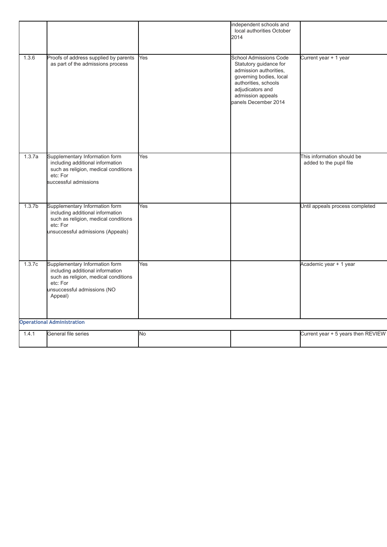<span id="page-9-0"></span>

|                    |                                                                                                                                                                  |           | local authorities October<br>2014                                                                                                                                                                     |                                                       |
|--------------------|------------------------------------------------------------------------------------------------------------------------------------------------------------------|-----------|-------------------------------------------------------------------------------------------------------------------------------------------------------------------------------------------------------|-------------------------------------------------------|
| 1.3.6              | Proofs of address supplied by parents<br>as part of the admissions process                                                                                       | Yes       | <b>School Admissions Code</b><br>Statutory guidance for<br>admission authorities,<br>governing bodies, local<br>authorities, schools<br>adjudicators and<br>admission appeals<br>panels December 2014 | Current year + 1 year                                 |
| 1.3.7a             | Supplementary Information form<br>including additional information<br>such as religion, medical conditions<br>etc: For<br>successful admissions                  | Yes       |                                                                                                                                                                                                       | This information should be<br>added to the pupil file |
| 1.3.7 <sub>b</sub> | Supplementary Information form<br>including additional information<br>such as religion, medical conditions<br>etc: For<br>unsuccessful admissions (Appeals)      | Yes       |                                                                                                                                                                                                       | Until appeals process completed                       |
| 1.3.7c             | Supplementary Information form<br>including additional information<br>such as religion, medical conditions<br>etc: For<br>unsuccessful admissions (NO<br>Appeal) | Yes       |                                                                                                                                                                                                       | Academic year + 1 year                                |
|                    | <b>Operational Administration</b>                                                                                                                                |           |                                                                                                                                                                                                       |                                                       |
| 1.4.1              | General file series                                                                                                                                              | <b>No</b> |                                                                                                                                                                                                       | Current year + 5 years then REVIEW                    |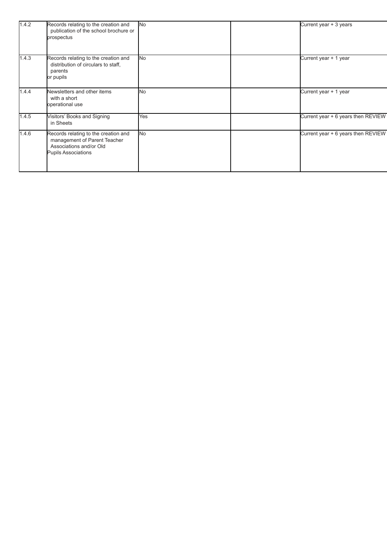<span id="page-10-0"></span>

| 1.4.2 | Records relating to the creation and<br>publication of the school brochure or<br>prospectus                                   | <b>No</b>      | Current year + 3 years             |
|-------|-------------------------------------------------------------------------------------------------------------------------------|----------------|------------------------------------|
| 1.4.3 | Records relating to the creation and<br>distribution of circulars to staff.<br>parents<br>or pupils                           | <b>No</b>      | Current year + 1 year              |
| 1.4.4 | Newsletters and other items<br>with a short<br>operational use                                                                | N <sub>o</sub> | Current year + 1 year              |
| 1.4.5 | Visitors' Books and Signing<br>in Sheets                                                                                      | Yes            | Current year + 6 years then REVIEW |
| 1.4.6 | Records relating to the creation and<br>management of Parent Teacher<br>Associations and/or Old<br><b>Pupils Associations</b> | <b>No</b>      | Current year + 6 years then REVIEW |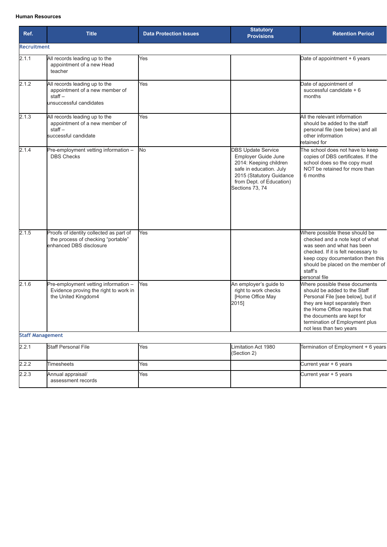#### **Human Resources**

<span id="page-11-1"></span><span id="page-11-0"></span>

| Ref.                    | <b>Title</b>                                                                                             | <b>Data Protection Issues</b> | <b>Statutory</b><br><b>Provisions</b>                                                                                                                                            | <b>Retention Period</b>                                                                                                                                                                                                                                          |
|-------------------------|----------------------------------------------------------------------------------------------------------|-------------------------------|----------------------------------------------------------------------------------------------------------------------------------------------------------------------------------|------------------------------------------------------------------------------------------------------------------------------------------------------------------------------------------------------------------------------------------------------------------|
| <b>Recruitment</b>      |                                                                                                          |                               |                                                                                                                                                                                  |                                                                                                                                                                                                                                                                  |
| 2.1.1                   | All records leading up to the<br>appointment of a new Head<br>teacher                                    | Yes                           |                                                                                                                                                                                  | Date of appointment + 6 years                                                                                                                                                                                                                                    |
| 2.1.2                   | All records leading up to the<br>appointment of a new member of<br>$stat -$<br>unsuccessful candidates   | <b>Yes</b>                    |                                                                                                                                                                                  | Date of appointment of<br>successful candidate + 6<br>months                                                                                                                                                                                                     |
| 2.1.3                   | All records leading up to the<br>appointment of a new member of<br>$stat -$<br>successful candidate      | Yes                           |                                                                                                                                                                                  | All the relevant information<br>should be added to the staff<br>personal file (see below) and all<br>other information<br>retained for                                                                                                                           |
| 2.1.4                   | Pre-employment vetting information -<br><b>DBS Checks</b>                                                | No.                           | <b>DBS Update Service</b><br>Employer Guide June<br>2014: Keeping children<br>safe in education. July<br>2015 (Statutory Guidance<br>from Dept. of Education)<br>Sections 73, 74 | The school does not have to keep<br>copies of DBS certificates. If the<br>school does so the copy must<br>NOT be retained for more than<br>6 months                                                                                                              |
| 2.1.5                   | Proofs of identity collected as part of<br>the process of checking "portable"<br>enhanced DBS disclosure | Yes                           |                                                                                                                                                                                  | Where possible these should be<br>checked and a note kept of what<br>was seen and what has been<br>checked. If it is felt necessary to<br>keep copy documentation then this<br>should be placed on the member of<br>staff's<br>personal file                     |
| 2.1.6                   | Pre-employment vetting information -<br>Evidence proving the right to work in<br>the United Kingdom4     | Yes                           | An employer's guide to<br>right to work checks<br>[Home Office May<br>2015]                                                                                                      | Where possible these documents<br>should be added to the Staff<br>Personal File [see below], but if<br>they are kept separately then<br>the Home Office requires that<br>the documents are kept for<br>termination of Employment plus<br>not less than two years |
| <b>Staff Management</b> |                                                                                                          |                               |                                                                                                                                                                                  |                                                                                                                                                                                                                                                                  |
| 2.2.1                   | <b>Staff Personal File</b>                                                                               | Yes                           | Limitation Act 1980<br>(Section 2)                                                                                                                                               | Termination of Employment + 6 years                                                                                                                                                                                                                              |
| 2.2.2                   | Timesheets                                                                                               | Yes                           |                                                                                                                                                                                  | Current year + 6 years                                                                                                                                                                                                                                           |
| 2.2.3                   | Annual appraisal/<br>assessment records                                                                  | Yes                           |                                                                                                                                                                                  | Current year + 5 years                                                                                                                                                                                                                                           |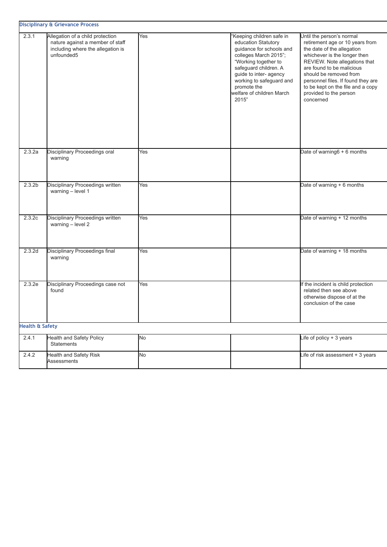<span id="page-12-0"></span>

|                            | <b>Disciplinary &amp; Grievance Process</b>                                                                             |     |                                                                                                                                                                                                                                                                   |                                                                                                                                                                                                                                                                                                                                      |
|----------------------------|-------------------------------------------------------------------------------------------------------------------------|-----|-------------------------------------------------------------------------------------------------------------------------------------------------------------------------------------------------------------------------------------------------------------------|--------------------------------------------------------------------------------------------------------------------------------------------------------------------------------------------------------------------------------------------------------------------------------------------------------------------------------------|
| 2.3.1                      | Allegation of a child protection<br>nature against a member of staff<br>including where the allegation is<br>unfounded5 | Yes | 'Keeping children safe in<br>education Statutory<br>guidance for schools and<br>colleges March 2015";<br>"Working together to<br>safeguard children. A<br>guide to inter- agency<br>working to safeguard and<br>promote the<br>welfare of children March<br>2015" | Until the person's normal<br>retirement age or 10 years from<br>the date of the allegation<br>whichever is the longer then<br>REVIEW. Note allegations that<br>are found to be malicious<br>should be removed from<br>personnel files. If found they are<br>to be kept on the file and a copy<br>provided to the person<br>concerned |
| 2.3.2a                     | Disciplinary Proceedings oral<br>warning                                                                                | Yes |                                                                                                                                                                                                                                                                   | Date of warning6 + 6 months                                                                                                                                                                                                                                                                                                          |
| 2.3.2 <sub>b</sub>         | Disciplinary Proceedings written<br>warning - level 1                                                                   | Yes |                                                                                                                                                                                                                                                                   | Date of warning + 6 months                                                                                                                                                                                                                                                                                                           |
| 2.3.2c                     | Disciplinary Proceedings written<br>warning - level 2                                                                   | Yes |                                                                                                                                                                                                                                                                   | Date of warning + 12 months                                                                                                                                                                                                                                                                                                          |
| 2.3.2d                     | Disciplinary Proceedings final<br>warning                                                                               | Yes |                                                                                                                                                                                                                                                                   | Date of warning + 18 months                                                                                                                                                                                                                                                                                                          |
| 2.3.2e                     | Disciplinary Proceedings case not<br>found                                                                              | Yes |                                                                                                                                                                                                                                                                   | If the incident is child protection<br>related then see above<br>otherwise dispose of at the<br>conclusion of the case                                                                                                                                                                                                               |
| <b>Health &amp; Safety</b> |                                                                                                                         |     |                                                                                                                                                                                                                                                                   |                                                                                                                                                                                                                                                                                                                                      |
| 2.4.1                      | <b>Health and Safety Policy</b><br><b>Statements</b>                                                                    | No  |                                                                                                                                                                                                                                                                   | Life of policy + 3 years                                                                                                                                                                                                                                                                                                             |
| 2.4.2                      | Health and Safety Risk<br>Assessments                                                                                   | No  |                                                                                                                                                                                                                                                                   | Life of risk assessment + 3 years                                                                                                                                                                                                                                                                                                    |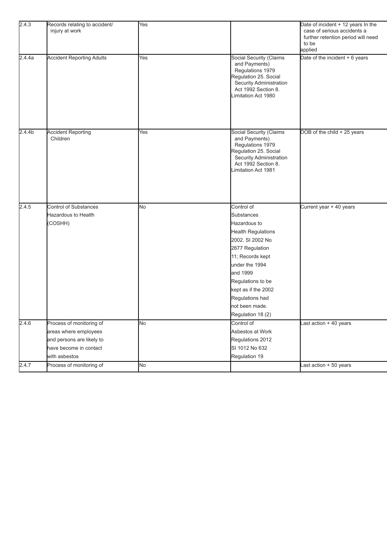| 2.4.4a<br><b>Accident Reporting Adults</b><br>Yes<br>Social Security (Claims<br>Date of the incident + 6 years<br>and Payments)<br>Regulations 1979<br>Regulation 25. Social<br>Security Administration<br>Act 1992 Section 8.<br>Limitation Act 1980<br><b>Accident Reporting</b><br>Social Security (Claims<br>2.4.4 <sub>b</sub><br>DOB of the child + 25 years<br>Yes<br>Children<br>and Payments)<br>Regulations 1979<br>Regulation 25. Social<br>Security Administration<br>Act 1992 Section 8.<br>Limitation Act 1981<br>2.4.5<br><b>Control of Substances</b><br>Control of<br>No<br>Current year + 40 years<br>Hazardous to Health<br>Substances<br>(COSHH)<br>Hazardous to<br><b>Health Regulations</b><br>2002. SI 2002 No<br>2677 Regulation<br>11; Records kept<br>under the 1994<br>and 1999<br>Regulations to be<br>kept as if the 2002<br>Regulations had<br>not been made.<br>Regulation 18 (2)<br>2.4.6<br>Control of<br>Process of monitoring of<br>Last action + 40 years<br>No<br>Asbestos at Work<br>areas where employees<br>and persons are likely to<br>Regulations 2012<br>have become in contact<br>SI 1012 No 632<br>Regulation 19<br>with asbestos<br>Process of monitoring of<br>2.4.7<br>Last action + 50 years<br>No | 2.4.3 | Records relating to accident/<br>injury at work | Yes | Date of incident + 12 years In the<br>case of serious accidents a<br>further retention period will need<br>to be<br>applied |
|------------------------------------------------------------------------------------------------------------------------------------------------------------------------------------------------------------------------------------------------------------------------------------------------------------------------------------------------------------------------------------------------------------------------------------------------------------------------------------------------------------------------------------------------------------------------------------------------------------------------------------------------------------------------------------------------------------------------------------------------------------------------------------------------------------------------------------------------------------------------------------------------------------------------------------------------------------------------------------------------------------------------------------------------------------------------------------------------------------------------------------------------------------------------------------------------------------------------------------------------------|-------|-------------------------------------------------|-----|-----------------------------------------------------------------------------------------------------------------------------|
|                                                                                                                                                                                                                                                                                                                                                                                                                                                                                                                                                                                                                                                                                                                                                                                                                                                                                                                                                                                                                                                                                                                                                                                                                                                      |       |                                                 |     |                                                                                                                             |
|                                                                                                                                                                                                                                                                                                                                                                                                                                                                                                                                                                                                                                                                                                                                                                                                                                                                                                                                                                                                                                                                                                                                                                                                                                                      |       |                                                 |     |                                                                                                                             |
|                                                                                                                                                                                                                                                                                                                                                                                                                                                                                                                                                                                                                                                                                                                                                                                                                                                                                                                                                                                                                                                                                                                                                                                                                                                      |       |                                                 |     |                                                                                                                             |
|                                                                                                                                                                                                                                                                                                                                                                                                                                                                                                                                                                                                                                                                                                                                                                                                                                                                                                                                                                                                                                                                                                                                                                                                                                                      |       |                                                 |     |                                                                                                                             |
|                                                                                                                                                                                                                                                                                                                                                                                                                                                                                                                                                                                                                                                                                                                                                                                                                                                                                                                                                                                                                                                                                                                                                                                                                                                      |       |                                                 |     |                                                                                                                             |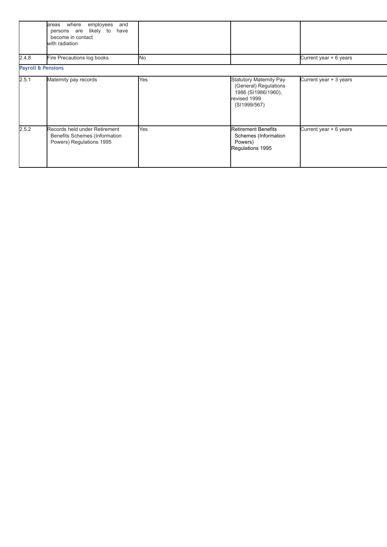<span id="page-14-1"></span><span id="page-14-0"></span>

|       | where<br>employees<br>and<br>areas<br>likely to<br>persons are<br>have<br>become in contact<br>with radiation |     |                                                                                                         |                        |
|-------|---------------------------------------------------------------------------------------------------------------|-----|---------------------------------------------------------------------------------------------------------|------------------------|
| 2.4.8 | Fire Precautions log books                                                                                    | No  |                                                                                                         | Current year + 6 years |
|       | <b>Payroll &amp; Pensions</b>                                                                                 |     |                                                                                                         |                        |
| 2.5.1 | Maternity pay records                                                                                         | Yes | Statutory Maternity Pay<br>(General) Regulations<br>1986 (SI1986/1960),<br>revised 1999<br>(SI1999/567) | Current year + 3 years |
| 2.5.2 | Records held under Retirement<br>Benefits Schemes (Information<br>Powers) Regulations 1995                    | Yes | <b>Retirement Benefits</b><br>Schemes (Information<br>Powers)<br>Regulations 1995                       | Current year + 6 years |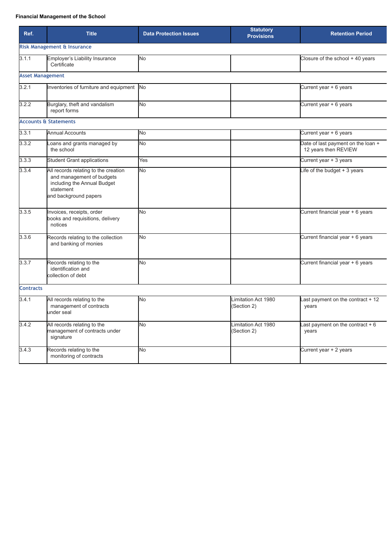#### **Financial Management of the School**

<span id="page-15-3"></span><span id="page-15-2"></span><span id="page-15-1"></span><span id="page-15-0"></span>

| Ref.             | <b>Title</b>                                                                                                                           | <b>Data Protection Issues</b> | <b>Statutory</b><br><b>Provisions</b> | <b>Retention Period</b>                                    |
|------------------|----------------------------------------------------------------------------------------------------------------------------------------|-------------------------------|---------------------------------------|------------------------------------------------------------|
|                  | <b>Risk Management &amp; Insurance</b>                                                                                                 |                               |                                       |                                                            |
| 3.1.1            | Employer's Liability Insurance<br>Certificate                                                                                          | No                            |                                       | Closure of the school + 40 years                           |
|                  | <b>Asset Management</b>                                                                                                                |                               |                                       |                                                            |
| 3.2.1            | Inventories of furniture and equipment No                                                                                              |                               |                                       | Current year + 6 years                                     |
| 3.2.2            | Burglary, theft and vandalism<br>report forms                                                                                          | No                            |                                       | Current year + 6 years                                     |
|                  | <b>Accounts &amp; Statements</b>                                                                                                       |                               |                                       |                                                            |
| 3.3.1            | <b>Annual Accounts</b>                                                                                                                 | No                            |                                       | Current year + 6 years                                     |
| 3.3.2            | coans and grants managed by<br>the school                                                                                              | No                            |                                       | Date of last payment on the loan +<br>12 years then REVIEW |
| 3.3.3            | <b>Student Grant applications</b>                                                                                                      | Yes                           |                                       | Current year + 3 years                                     |
| 3.3.4            | All records relating to the creation<br>and management of budgets<br>including the Annual Budget<br>statement<br>and background papers | No                            |                                       | Life of the budget + 3 years                               |
| 3.3.5            | Invoices, receipts, order<br>books and requisitions, delivery<br>notices                                                               | No                            |                                       | Current financial year + 6 years                           |
| 3.3.6            | Records relating to the collection<br>and banking of monies                                                                            | No.                           |                                       | Current financial year + 6 years                           |
| 3.3.7            | Records relating to the<br>identification and<br>collection of debt                                                                    | No.                           |                                       | Current financial year + 6 years                           |
| <b>Contracts</b> |                                                                                                                                        |                               |                                       |                                                            |
| 3.4.1            | All records relating to the<br>management of contracts<br>under seal                                                                   | No                            | Limitation Act 1980<br>(Section 2)    | ast payment on the contract + 12<br>years                  |
| 3.4.2            | All records relating to the<br>management of contracts under<br>signature                                                              | No                            | Limitation Act 1980<br>(Section 2)    | Last payment on the contract $+6$<br>years                 |
| 3.4.3            | Records relating to the<br>monitoring of contracts                                                                                     | No                            |                                       | Current year + 2 years                                     |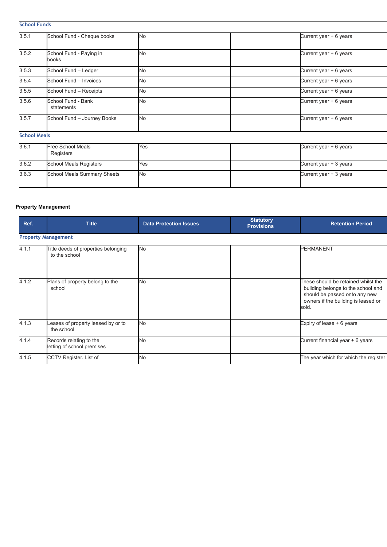| <b>School Funds</b> |                                       |                |                        |
|---------------------|---------------------------------------|----------------|------------------------|
| 3.5.1               | School Fund - Cheque books            | <b>No</b>      | Current year + 6 years |
| 3.5.2               | School Fund - Paying in<br>books      | N <sub>o</sub> | Current year + 6 years |
| 3.5.3               | School Fund - Ledger                  | N <sub>o</sub> | Current year + 6 years |
| 3.5.4               | School Fund - Invoices                | <b>No</b>      | Current year + 6 years |
| 3.5.5               | School Fund - Receipts                | N <sub>o</sub> | Current year + 6 years |
| 3.5.6               | School Fund - Bank<br>statements      | N <sub>o</sub> | Current year + 6 years |
| 3.5.7               | School Fund - Journey Books           | No             | Current year + 6 years |
| <b>School Meals</b> |                                       |                |                        |
| 3.6.1               | <b>Free School Meals</b><br>Registers | Yes            | Current year + 6 years |
| 3.6.2               | School Meals Registers                | Yes            | Current year + 3 years |
| 3.6.3               | <b>School Meals Summary Sheets</b>    | No             | Current year + 3 years |

#### <span id="page-16-1"></span><span id="page-16-0"></span>**Property Management**

| Ref.  | <b>Title</b>                                          | <b>Statutory</b><br><b>Data Protection Issues</b><br><b>Provisions</b> |  | <b>Retention Period</b>                                                                                                                                    |  |
|-------|-------------------------------------------------------|------------------------------------------------------------------------|--|------------------------------------------------------------------------------------------------------------------------------------------------------------|--|
|       | <b>Property Management</b>                            |                                                                        |  |                                                                                                                                                            |  |
| 4.1.1 | Title deeds of properties belonging<br>to the school  | <b>No</b>                                                              |  | <b>PERMANENT</b>                                                                                                                                           |  |
| 4.1.2 | Plans of property belong to the<br>school             | <b>No</b>                                                              |  | These should be retained whilst the<br>building belongs to the school and<br>should be passed onto any new<br>owners if the building is leased or<br>sold. |  |
| 4.1.3 | eases of property leased by or to<br>the school       | No.                                                                    |  | Expiry of lease $+6$ years                                                                                                                                 |  |
| 4.1.4 | Records relating to the<br>letting of school premises | <b>No</b>                                                              |  | Current financial year + 6 years                                                                                                                           |  |
| 4.1.5 | CCTV Register. List of                                | <b>No</b>                                                              |  | The year which for which the register                                                                                                                      |  |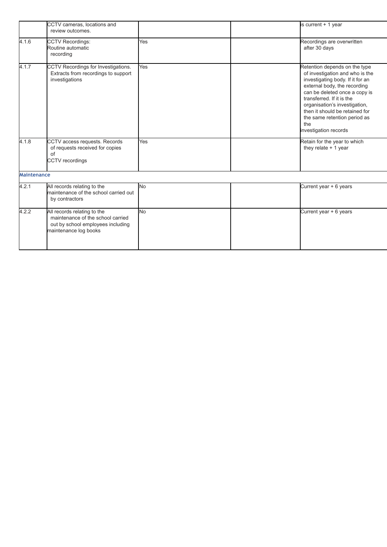<span id="page-17-1"></span><span id="page-17-0"></span>

|                    | CCTV cameras, locations and<br>review outcomes.                                                                                |           | is current $+1$ year                                                                                                                                                                                                                                                                                                                  |
|--------------------|--------------------------------------------------------------------------------------------------------------------------------|-----------|---------------------------------------------------------------------------------------------------------------------------------------------------------------------------------------------------------------------------------------------------------------------------------------------------------------------------------------|
| 4.1.6              | <b>CCTV Recordings:</b><br>Routine automatic<br>recording                                                                      | Yes       | Recordings are overwritten<br>after 30 days                                                                                                                                                                                                                                                                                           |
| 4.1.7              | CCTV Recordings for Investigations.<br>Extracts from recordings to support<br>investigations                                   | Yes       | Retention depends on the type<br>of investigation and who is the<br>investigating body. If it for an<br>external body, the recording<br>can be deleted once a copy is<br>transferred. If it is the<br>organisation's investigation,<br>then it should be retained for<br>the same retention period as<br>the<br>investigation records |
| 4.1.8              | CCTV access requests. Records<br>of requests received for copies<br>of<br><b>CCTV</b> recordings                               | Yes       | Retain for the year to which<br>they relate $+1$ year                                                                                                                                                                                                                                                                                 |
| <b>Maintenance</b> |                                                                                                                                |           |                                                                                                                                                                                                                                                                                                                                       |
| 4.2.1              | All records relating to the<br>maintenance of the school carried out<br>by contractors                                         | <b>No</b> | Current year + 6 years                                                                                                                                                                                                                                                                                                                |
| 4.2.2              | All records relating to the<br>maintenance of the school carried<br>out by school employees including<br>maintenance log books | <b>No</b> | Current year + 6 years                                                                                                                                                                                                                                                                                                                |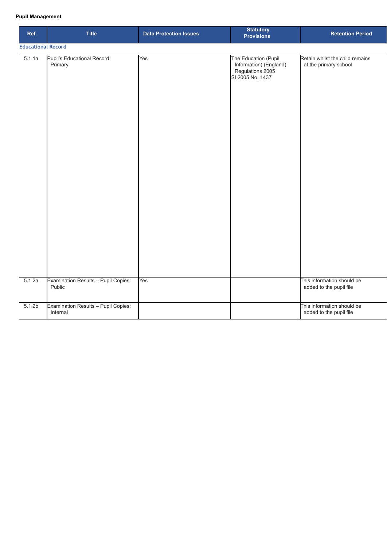#### **Pupil Management**

| Ref.                      | <b>Title</b>                                    | <b>Data Protection Issues</b> | <b>Statutory</b><br><b>Provisions</b>                                                  | <b>Retention Period</b>                                  |
|---------------------------|-------------------------------------------------|-------------------------------|----------------------------------------------------------------------------------------|----------------------------------------------------------|
| <b>Educational Record</b> |                                                 |                               |                                                                                        |                                                          |
| 5.1.1a                    | Pupil's Educational Record:<br>Primary          | $\overline{Yes}$              | The Education (Pupil<br>Information) (England)<br>Regulations 2005<br>SI 2005 No. 1437 | Retain whilst the child remains<br>at the primary school |
| 5.1.2a                    | Examination Results - Pupil Copies:<br>Public   | Yes                           |                                                                                        | This information should be<br>added to the pupil file    |
| 5.1.2 <sub>b</sub>        | Examination Results - Pupil Copies:<br>Internal |                               |                                                                                        | This information should be<br>added to the pupil file    |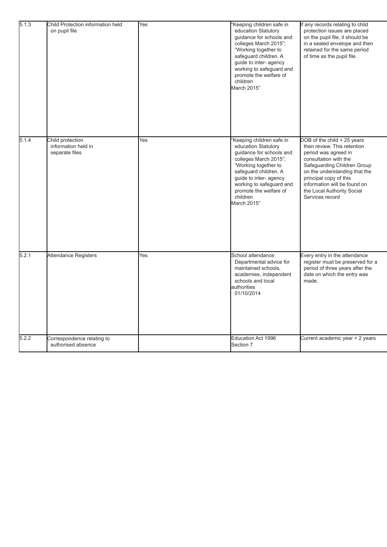<span id="page-19-0"></span>

| 5.1.3 | Child Protection information held<br>on pupil file        | Yes | 'Keeping children safe in<br>education Statutory<br>guidance for schools and<br>colleges March 2015";<br>"Working together to<br>safeguard children. A<br>guide to inter-agency<br>working to safeguard and<br>promote the welfare of<br>children<br>March 2015" | If any records relating to child<br>protection issues are placed<br>on the pupil file, it should be<br>in a sealed envelope and then<br>retained for the same period<br>of time as the pupil file.                                                                                     |
|-------|-----------------------------------------------------------|-----|------------------------------------------------------------------------------------------------------------------------------------------------------------------------------------------------------------------------------------------------------------------|----------------------------------------------------------------------------------------------------------------------------------------------------------------------------------------------------------------------------------------------------------------------------------------|
| 5.1.4 | Child protection<br>information held in<br>separate files | Yes | Keeping children safe in<br>education Statutory<br>guidance for schools and<br>colleges March 2015";<br>"Working together to<br>safeguard children. A<br>guide to inter- agency<br>working to safeguard and<br>promote the welfare of<br>children<br>March 2015" | DOB of the child + 25 years<br>then review. This retention<br>period was agreed in<br>consultation with the<br>Safeguarding Children Group<br>on the understanding that the<br>principal copy of this<br>information will be found on<br>the Local Authority Social<br>Services record |
| 5.2.1 | Attendance Registers                                      | Yes | School attendance:<br>Departmental advice for<br>maintained schools,<br>academies, independent<br>schools and local<br>authorities<br>01/10/2014                                                                                                                 | Every entry in the attendance<br>register must be preserved for a<br>period of three years after the<br>date on which the entry was<br>made.                                                                                                                                           |
| 5.2.2 | Correspondence relating to<br>authorised absence          |     | Education Act 1996<br>Section 7                                                                                                                                                                                                                                  | Current academic year + 2 years                                                                                                                                                                                                                                                        |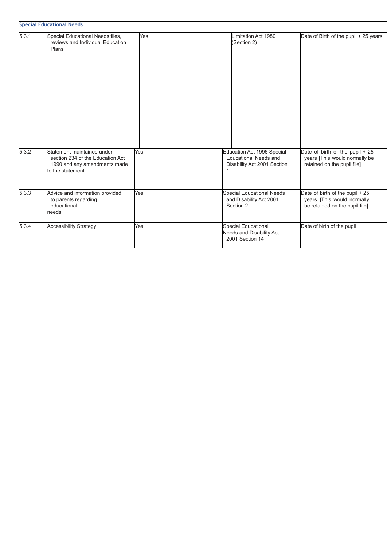<span id="page-20-0"></span>

| 5.3.1 | Special Educational Needs files,                                                                                   | Yes | Limitation Act 1980                                                                       | Date of Birth of the pupil + 25 years                                                           |
|-------|--------------------------------------------------------------------------------------------------------------------|-----|-------------------------------------------------------------------------------------------|-------------------------------------------------------------------------------------------------|
|       | reviews and Individual Education<br>Plans                                                                          |     | (Section 2)                                                                               |                                                                                                 |
| 5.3.2 | Statement maintained under<br>section 234 of the Education Act<br>1990 and any amendments made<br>to the statement | Yes | Education Act 1996 Special<br><b>Educational Needs and</b><br>Disability Act 2001 Section | Date of birth of the pupil + 25<br>years [This would normally be<br>retained on the pupil file] |
| 5.3.3 | Advice and information provided<br>to parents regarding<br>educational<br>needs                                    | Yes | Special Educational Needs<br>and Disability Act 2001<br>Section 2                         | Date of birth of the pupil + 25<br>years [This would normally<br>be retained on the pupil file] |
| 5.3.4 | <b>Accessibility Strategy</b>                                                                                      | Yes | Special Educational<br><b>Needs and Disability Act</b><br>2001 Section 14                 | Date of birth of the pupil                                                                      |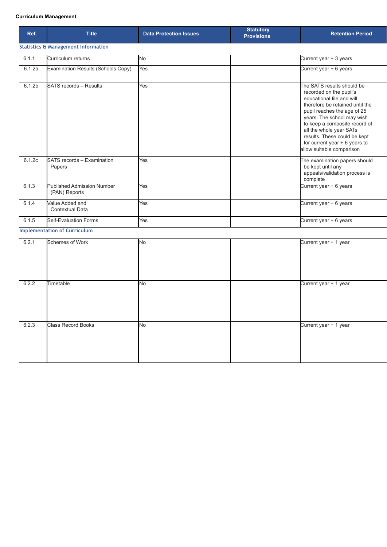#### **Curriculum Management**

<span id="page-21-0"></span>

| Ref.               | <b>Title</b>                                       | <b>Statutory</b><br><b>Data Protection Issues</b><br><b>Provisions</b> |  | <b>Retention Period</b>                                                                                                                                                                                                                                                                                                                        |
|--------------------|----------------------------------------------------|------------------------------------------------------------------------|--|------------------------------------------------------------------------------------------------------------------------------------------------------------------------------------------------------------------------------------------------------------------------------------------------------------------------------------------------|
|                    | <b>Statistics &amp; Management Information</b>     |                                                                        |  |                                                                                                                                                                                                                                                                                                                                                |
| 6.1.1              | Curriculum returns                                 | No                                                                     |  | Current year + 3 years                                                                                                                                                                                                                                                                                                                         |
| 6.1.2a             | Examination Results (Schools Copy)                 | Yes                                                                    |  | Current year + 6 years                                                                                                                                                                                                                                                                                                                         |
| 6.1.2 <sub>b</sub> | <b>SATS records - Results</b>                      | Yes                                                                    |  | The SATS results should be<br>recorded on the pupil's<br>educational file and will<br>therefore be retained until the<br>pupil reaches the age of 25<br>years. The school may wish<br>to keep a composite record of<br>all the whole year SATs<br>results. These could be kept<br>for current year $+ 6$ years to<br>allow suitable comparison |
| 6.1.2c             | SATS records - Examination<br>Papers               | Yes                                                                    |  | The examination papers should<br>be kept until any<br>appeals/validation process is<br>complete                                                                                                                                                                                                                                                |
| 6.1.3              | <b>Published Admission Number</b><br>(PAN) Reports | Yes                                                                    |  | Current year + 6 years                                                                                                                                                                                                                                                                                                                         |
| 6.1.4              | Value Added and<br>Contextual Data                 | Yes                                                                    |  | Current year + 6 years                                                                                                                                                                                                                                                                                                                         |
| 6.1.5              | Self-Evaluation Forms                              | Yes                                                                    |  | Current year + 6 years                                                                                                                                                                                                                                                                                                                         |
|                    | <b>Implementation of Curriculum</b>                |                                                                        |  |                                                                                                                                                                                                                                                                                                                                                |
| 6.2.1              | <b>Schemes of Work</b>                             | No                                                                     |  | Current year + 1 year                                                                                                                                                                                                                                                                                                                          |
| 6.2.2              | Timetable                                          | No.                                                                    |  | Current year + 1 year                                                                                                                                                                                                                                                                                                                          |
| 6.2.3              | <b>Class Record Books</b>                          | <b>No</b>                                                              |  | Current year + 1 year                                                                                                                                                                                                                                                                                                                          |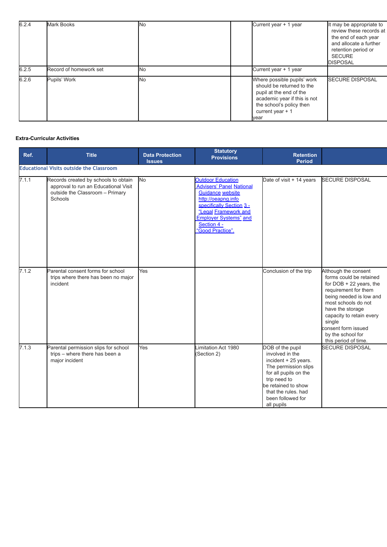| 6.2.4 | <b>Mark Books</b>      | <b>No</b> | Current year + 1 year                                                                                                                                                        | It may be appropriate to<br>review these records at<br>the end of each year<br>and allocate a further<br>retention period or<br><b>SECURE</b><br><b>DISPOSAL</b> |
|-------|------------------------|-----------|------------------------------------------------------------------------------------------------------------------------------------------------------------------------------|------------------------------------------------------------------------------------------------------------------------------------------------------------------|
| 6.2.5 | Record of homework set | <b>No</b> | Current year + 1 year                                                                                                                                                        |                                                                                                                                                                  |
| 6.2.6 | Pupils' Work           | <b>No</b> | Where possible pupils' work<br>should be returned to the<br>pupil at the end of the<br>academic year if this is not<br>the school's policy then<br>current year $+1$<br>vear | <b>ISECURE DISPOSAL</b>                                                                                                                                          |

#### <span id="page-22-0"></span>**Extra-Curricular Activities**

<span id="page-22-1"></span>

| Ref.  | <b>Title</b>                                                                                                               | <b>Data Protection</b><br><b>Issues</b> | <b>Statutory</b><br><b>Provisions</b>                                                                                                                                                                                                | <b>Retention</b><br><b>Period</b>                                                                                                                                                                             |                                                                                                                                                                                                                                                                                      |
|-------|----------------------------------------------------------------------------------------------------------------------------|-----------------------------------------|--------------------------------------------------------------------------------------------------------------------------------------------------------------------------------------------------------------------------------------|---------------------------------------------------------------------------------------------------------------------------------------------------------------------------------------------------------------|--------------------------------------------------------------------------------------------------------------------------------------------------------------------------------------------------------------------------------------------------------------------------------------|
|       | <b>Educational Visits outside the Classroom</b>                                                                            |                                         |                                                                                                                                                                                                                                      |                                                                                                                                                                                                               |                                                                                                                                                                                                                                                                                      |
| 7.1.1 | Records created by schools to obtain<br>approval to run an Educational Visit<br>outside the Classroom - Primary<br>Schools | <b>No</b>                               | <b>Outdoor Education</b><br><b>Advisers' Panel National</b><br><b>Guidance website</b><br>http://oeapng.info<br>specifically Section 3 -<br>"Legal Framework and<br><b>Employer Systems</b> " and<br>Section 4 -<br>"Good Practice". | Date of visit + 14 years                                                                                                                                                                                      | <b>SECURE DISPOSAL</b>                                                                                                                                                                                                                                                               |
| 7.1.2 | Parental consent forms for school<br>trips where there has been no major<br>incident                                       | Yes                                     |                                                                                                                                                                                                                                      | Conclusion of the trip                                                                                                                                                                                        | Although the consent<br>forms could be retained<br>for $DOB + 22$ years, the<br>requirement for them<br>being needed is low and<br>most schools do not<br>have the storage<br>capacity to retain every<br>single<br>consent form issued<br>by the school for<br>this period of time. |
| 7.1.3 | Parental permission slips for school<br>trips - where there has been a<br>major incident                                   | Yes                                     | imitation Act 1980<br>(Section 2)                                                                                                                                                                                                    | DOB of the pupil<br>involved in the<br>incident + 25 years.<br>The permission slips<br>for all pupils on the<br>trip need to<br>be retained to show<br>that the rules, had<br>been followed for<br>all pupils | <b>SECURE DISPOSAL</b>                                                                                                                                                                                                                                                               |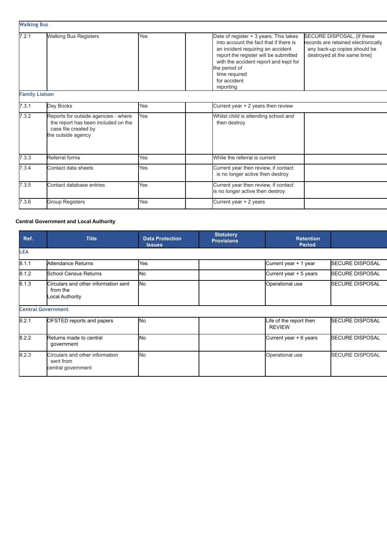<span id="page-23-0"></span>

|                       | <b>Walking Bus</b>                                                                                                        |     |                                                                                                                                                                                                                                                                                                                                                                                                            |  |  |  |
|-----------------------|---------------------------------------------------------------------------------------------------------------------------|-----|------------------------------------------------------------------------------------------------------------------------------------------------------------------------------------------------------------------------------------------------------------------------------------------------------------------------------------------------------------------------------------------------------------|--|--|--|
| 7.2.1                 | <b>Walking Bus Registers</b>                                                                                              | Yes | Date of register + 3 years. This takes<br>SECURE DISPOSAL, [If these<br>into account the fact that if there is<br>records are retained electronically<br>any back-up copies should be<br>an incident requiring an accident<br>destroyed at the same time]<br>report the register will be submitted<br>with the accident report and kept for<br>the period of<br>time required<br>for accident<br>reporting |  |  |  |
| <b>Family Liaison</b> |                                                                                                                           |     |                                                                                                                                                                                                                                                                                                                                                                                                            |  |  |  |
| 7.3.1                 | Day Books                                                                                                                 | Yes | Current year + 2 years then review                                                                                                                                                                                                                                                                                                                                                                         |  |  |  |
| 7.3.2                 | Reports for outside agencies - where<br>the report has been included on the<br>case file created by<br>the outside agency | Yes | Whilst child is attending school and<br>then destroy                                                                                                                                                                                                                                                                                                                                                       |  |  |  |
| 7.3.3                 | Referral forms                                                                                                            | Yes | While the referral is current                                                                                                                                                                                                                                                                                                                                                                              |  |  |  |
| 7.3.4                 | Contact data sheets                                                                                                       | Yes | Current year then review, if contact<br>is no longer active then destroy                                                                                                                                                                                                                                                                                                                                   |  |  |  |
| 7.3.5                 | Contact database entries                                                                                                  | Yes | Current year then review, if contact<br>is no longer active then destroy                                                                                                                                                                                                                                                                                                                                   |  |  |  |
| 7.3.6                 | <b>Group Registers</b>                                                                                                    | Yes | Current year + 2 years                                                                                                                                                                                                                                                                                                                                                                                     |  |  |  |

#### <span id="page-23-1"></span>**Central Government and Local Authority**

<span id="page-23-2"></span>

| Ref.       | <b>Title</b>                                                        | <b>Data Protection</b><br><b>Issues</b> | <b>Statutory</b><br><b>Provisions</b> | <b>Retention</b><br><b>Period</b>        |                          |
|------------|---------------------------------------------------------------------|-----------------------------------------|---------------------------------------|------------------------------------------|--------------------------|
| <b>LEA</b> |                                                                     |                                         |                                       |                                          |                          |
| 8.1.1      | Attendance Returns                                                  | Yes                                     |                                       | Current year + 1 year                    | <b>ISECURE DISPOSAL</b>  |
| 8.1.2      | <b>School Census Returns</b>                                        | <b>INo</b>                              |                                       | Current year + 5 years                   | <b>I</b> SECURE DISPOSAL |
| 8.1.3      | Circulars and other information sent<br>from the<br>Local Authority | <b>No</b>                               |                                       | Operational use                          | <b>ISECURE DISPOSAL</b>  |
|            | <b>Central Government</b>                                           |                                         |                                       |                                          |                          |
| 8.2.1      | OFSTED reports and papers                                           | <b>No</b>                               |                                       | Life of the report then<br><b>REVIEW</b> | <b>ISECURE DISPOSAL</b>  |
| 8.2.2      | Returns made to central<br>government                               | <b>I</b> No                             |                                       | Current year + 6 years                   | <b>SECURE DISPOSAL</b>   |
| 8.2.3      | Circulars and other information<br>sent from<br>central government  | <b>No</b>                               |                                       | Operational use                          | <b>SECURE DISPOSAL</b>   |